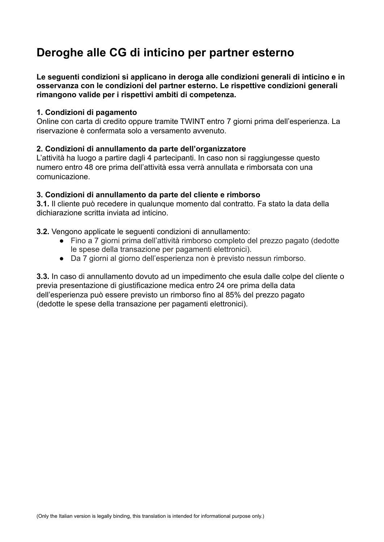# **Deroghe alle CG di inticino per partner esterno**

**Le seguenti condizioni si applicano in deroga alle condizioni generali di inticino e in osservanza con le condizioni del partner esterno. Le rispettive condizioni generali rimangono valide per i rispettivi ambiti di competenza.**

### **1. Condizioni di pagamento**

Online con carta di credito oppure tramite TWINT entro 7 giorni prima dell'esperienza. La riservazione è confermata solo a versamento avvenuto.

### **2. Condizioni di annullamento da parte dell'organizzatore**

L'attività ha luogo a partire dagli 4 partecipanti. In caso non si raggiungesse questo numero entro 48 ore prima dell'attività essa verrà annullata e rimborsata con una comunicazione.

### **3. Condizioni di annullamento da parte del cliente e rimborso**

**3.1.** Il cliente può recedere in qualunque momento dal contratto. Fa stato la data della dichiarazione scritta inviata ad inticino.

**3.2.** Vengono applicate le seguenti condizioni di annullamento:

- Fino a 7 giorni prima dell'attività rimborso completo del prezzo pagato (dedotte le spese della transazione per pagamenti elettronici).
- Da 7 giorni al giorno dell'esperienza non è previsto nessun rimborso.

**3.3.** In caso di annullamento dovuto ad un impedimento che esula dalle colpe del cliente o previa presentazione di giustificazione medica entro 24 ore prima della data dell'esperienza può essere previsto un rimborso fino al 85% del prezzo pagato (dedotte le spese della transazione per pagamenti elettronici).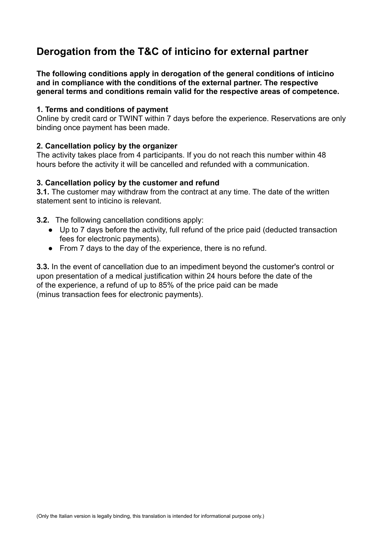# **Derogation from the T&C of inticino for external partner**

**The following conditions apply in derogation of the general conditions of inticino and in compliance with the conditions of the external partner. The respective general terms and conditions remain valid for the respective areas of competence.**

# **1. Terms and conditions of payment**

Online by credit card or TWINT within 7 days before the experience. Reservations are only binding once payment has been made.

# **2. Cancellation policy by the organizer**

The activity takes place from 4 participants. If you do not reach this number within 48 hours before the activity it will be cancelled and refunded with a communication.

# **3. Cancellation policy by the customer and refund**

**3.1.** The customer may withdraw from the contract at any time. The date of the written statement sent to inticino is relevant.

**3.2.** The following cancellation conditions apply:

- Up to 7 days before the activity, full refund of the price paid (deducted transaction fees for electronic payments).
- From 7 days to the day of the experience, there is no refund.

**3.3.** In the event of cancellation due to an impediment beyond the customer's control or upon presentation of a medical justification within 24 hours before the date of the of the experience, a refund of up to 85% of the price paid can be made (minus transaction fees for electronic payments).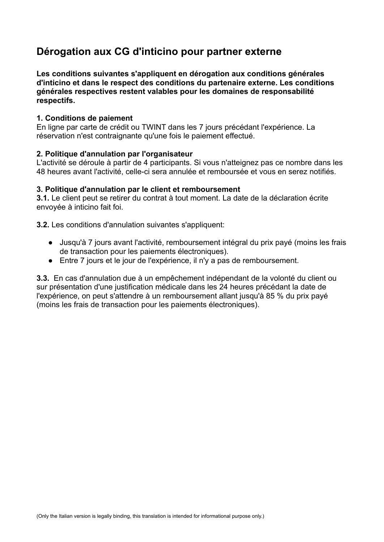# **Dérogation aux CG d'inticino pour partner externe**

**Les conditions suivantes s'appliquent en dérogation aux conditions générales d'inticino et dans le respect des conditions du partenaire externe. Les conditions générales respectives restent valables pour les domaines de responsabilité respectifs.**

# **1. Conditions de paiement**

En ligne par carte de crédit ou TWINT dans les 7 jours précédant l'expérience. La réservation n'est contraignante qu'une fois le paiement effectué.

### **2. Politique d'annulation par l'organisateur**

L'activité se déroule à partir de 4 participants. Si vous n'atteignez pas ce nombre dans les 48 heures avant l'activité, celle-ci sera annulée et remboursée et vous en serez notifiés.

### **3. Politique d'annulation par le client et remboursement**

**3.1.** Le client peut se retirer du contrat à tout moment. La date de la déclaration écrite envoyée à inticino fait foi.

**3.2.** Les conditions d'annulation suivantes s'appliquent:

- Jusqu'à 7 jours avant l'activité, remboursement intégral du prix payé (moins les frais de transaction pour les paiements électroniques).
- Entre 7 jours et le jour de l'expérience, il n'y a pas de remboursement.

**3.3.** En cas d'annulation due à un empêchement indépendant de la volonté du client ou sur présentation d'une justification médicale dans les 24 heures précédant la date de l'expérience, on peut s'attendre à un remboursement allant jusqu'à 85 % du prix payé (moins les frais de transaction pour les paiements électroniques).